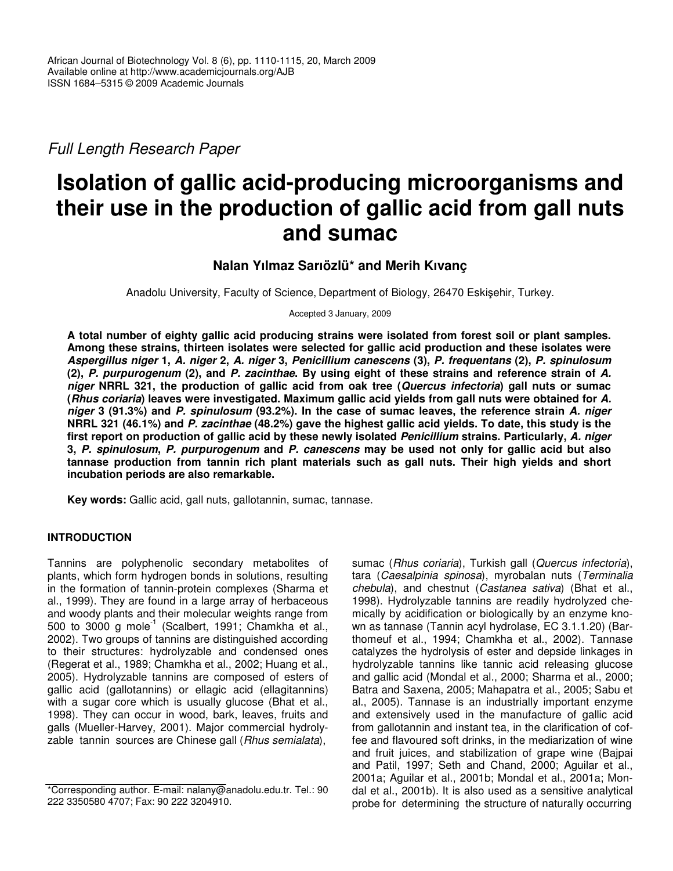*Full Length Research Paper*

# **Isolation of gallic acid-producing microorganisms and their use in the production of gallic acid from gall nuts and sumac**

## **Nalan Yılmaz Sarıözlü\* and Merih Kıvanç**

Anadolu University, Faculty of Science, Department of Biology, 26470 Eskiehir, Turkey.

Accepted 3 January, 2009

**A total number of eighty gallic acid producing strains were isolated from forest soil or plant samples. Among these strains, thirteen isolates were selected for gallic acid production and these isolates were** *Aspergillus niger* **1,** *A. niger* **2,** *A. niger* **3,** *Penicillium canescens* **(3),** *P. frequentans* **(2),** *P. spinulosum* (2), P. purpurogenum (2), and P. zacinthae. By using eight of these strains and reference strain of A. niger NRRL 321, the production of gallic acid from oak tree (Quercus infectoria) gall nuts or sumac (Rhus coriaria) leaves were investigated. Maximum gallic acid yields from gall nuts were obtained for A. niger 3 (91.3%) and P. spinulosum (93.2%). In the case of sumac leaves, the reference strain A. niger NRRL 321 (46.1%) and P. zacinthae (48.2%) gave the highest gallic acid yields. To date, this study is the **first report on production of gallic acid by these newly isolated** *Penicillium* **strains. Particularly,** *A. niger* 3, P. spinulosum, P. purpurogenum and P. canescens may be used not only for gallic acid but also **tannase production from tannin rich plant materials such as gall nuts. Their high yields and short incubation periods are also remarkable.**

**Key words:** Gallic acid, gall nuts, gallotannin, sumac, tannase.

### **INTRODUCTION**

Tannins are polyphenolic secondary metabolites of plants, which form hydrogen bonds in solutions, resulting in the formation of tannin-protein complexes (Sharma et al., 1999). They are found in a large array of herbaceous and woody plants and their molecular weights range from 500 to 3000 g mole $^{-1}$  (Scalbert, 1991; Chamkha et al., 2002). Two groups of tannins are distinguished according to their structures: hydrolyzable and condensed ones (Regerat et al., 1989; Chamkha et al., 2002; Huang et al., 2005). Hydrolyzable tannins are composed of esters of gallic acid (gallotannins) or ellagic acid (ellagitannins) with a sugar core which is usually glucose (Bhat et al., 1998). They can occur in wood, bark, leaves, fruits and galls (Mueller-Harvey, 2001). Major commercial hydrolyzable tannin sources are Chinese gall (*Rhus semialata*),

sumac (*Rhus coriaria*), Turkish gall (*Quercus infectoria*), tara (*Caesalpinia spinosa*), myrobalan nuts (*Terminalia chebula*), and chestnut (*Castanea sativa*) (Bhat et al., 1998). Hydrolyzable tannins are readily hydrolyzed chemically by acidification or biologically by an enzyme known as tannase (Tannin acyl hydrolase, EC 3.1.1.20) (Barthomeuf et al., 1994; Chamkha et al., 2002). Tannase catalyzes the hydrolysis of ester and depside linkages in hydrolyzable tannins like tannic acid releasing glucose and gallic acid (Mondal et al., 2000; Sharma et al., 2000; Batra and Saxena, 2005; Mahapatra et al., 2005; Sabu et al., 2005). Tannase is an industrially important enzyme and extensively used in the manufacture of gallic acid from gallotannin and instant tea, in the clarification of coffee and flavoured soft drinks, in the mediarization of wine and fruit juices, and stabilization of grape wine (Bajpai and Patil, 1997; Seth and Chand, 2000; Aguilar et al., 2001a; Aguilar et al., 2001b; Mondal et al., 2001a; Mondal et al., 2001b). It is also used as a sensitive analytical probe for determining the structure of naturally occurring

<sup>\*</sup>Corresponding author. E-mail: nalany@anadolu.edu.tr. Tel.: 90 222 3350580 4707; Fax: 90 222 3204910.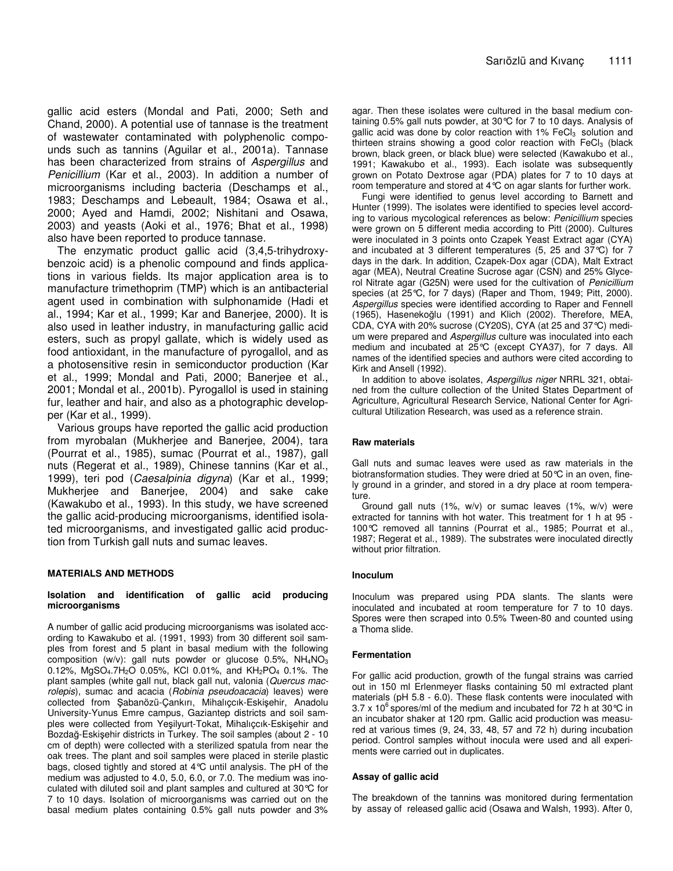gallic acid esters (Mondal and Pati, 2000; Seth and Chand, 2000). A potential use of tannase is the treatment of wastewater contaminated with polyphenolic compounds such as tannins (Aguilar et al., 2001a). Tannase has been characterized from strains of *Aspergillus* and *Penicillium* (Kar et al., 2003). In addition a number of microorganisms including bacteria (Deschamps et al., 1983; Deschamps and Lebeault, 1984; Osawa et al., 2000; Ayed and Hamdi, 2002; Nishitani and Osawa, 2003) and yeasts (Aoki et al., 1976; Bhat et al., 1998) also have been reported to produce tannase.

The enzymatic product gallic acid (3,4,5-trihydroxybenzoic acid) is a phenolic compound and finds applications in various fields. Its major application area is to manufacture trimethoprim (TMP) which is an antibacterial agent used in combination with sulphonamide (Hadi et al., 1994; Kar et al., 1999; Kar and Banerjee, 2000). It is also used in leather industry, in manufacturing gallic acid esters, such as propyl gallate, which is widely used as food antioxidant, in the manufacture of pyrogallol, and as a photosensitive resin in semiconductor production (Kar et al., 1999; Mondal and Pati, 2000; Banerjee et al., 2001; Mondal et al., 2001b). Pyrogallol is used in staining fur, leather and hair, and also as a photographic developper (Kar et al., 1999).

Various groups have reported the gallic acid production from myrobalan (Mukherjee and Banerjee, 2004), tara (Pourrat et al., 1985), sumac (Pourrat et al., 1987), gall nuts (Regerat et al., 1989), Chinese tannins (Kar et al., 1999), teri pod (*Caesalpinia digyna*) (Kar et al., 1999; Mukherjee and Banerjee, 2004) and sake cake (Kawakubo et al., 1993). In this study, we have screened the gallic acid-producing microorganisms, identified isolated microorganisms, and investigated gallic acid production from Turkish gall nuts and sumac leaves.

#### **MATERIALS AND METHODS**

#### **Isolation and identification of gallic acid producing microorganisms**

A number of gallic acid producing microorganisms was isolated according to Kawakubo et al. (1991, 1993) from 30 different soil samples from forest and 5 plant in basal medium with the following composition (w/v): gall nuts powder or glucose 0.5%,  $NH_4NO_3$ 0.12%, MgSO<sub>4</sub>.7H<sub>2</sub>O 0.05%, KCI 0.01%, and  $KH_2PO_4$  0.1%. The plant samples (white gall nut, black gall nut, valonia (*Quercus macrolepis*), sumac and acacia (*Robinia pseudoacacia*) leaves) were collected from Şabanözü-Çankırı, Mihalıçcık-Eskişehir, Anadolu University-Yunus Emre campus, Gaziantep districts and soil samples were collected from Yeşilyurt-Tokat, Mihalıçcık-Eskişehir and Bozdağ-Eskişehir districts in Turkey. The soil samples (about 2 - 10 cm of depth) were collected with a sterilized spatula from near the oak trees. The plant and soil samples were placed in sterile plastic bags, closed tightly and stored at 4°C until analysis. The pH of the medium was adjusted to 4.0, 5.0, 6.0, or 7.0. The medium was inoculated with diluted soil and plant samples and cultured at 30°C for 7 to 10 days. Isolation of microorganisms was carried out on the basal medium plates containing 0.5% gall nuts powder and 3%

agar. Then these isolates were cultured in the basal medium containing 0.5% gall nuts powder, at 30°C for 7 to 10 days. Analysis of gallic acid was done by color reaction with  $1\%$  FeCl<sub>3</sub> solution and thirteen strains showing a good color reaction with  $FeCl<sub>3</sub>$  (black brown, black green, or black blue) were selected (Kawakubo et al., 1991; Kawakubo et al., 1993). Each isolate was subsequently grown on Potato Dextrose agar (PDA) plates for 7 to 10 days at room temperature and stored at 4°C on agar slants for further work.

Fungi were identified to genus level according to Barnett and Hunter (1999). The isolates were identified to species level according to various mycological references as below: *Penicillium* species were grown on 5 different media according to Pitt (2000). Cultures were inoculated in 3 points onto Czapek Yeast Extract agar (CYA) and incubated at 3 different temperatures (5, 25 and 37°C) for 7 days in the dark. In addition, Czapek-Dox agar (CDA), Malt Extract agar (MEA), Neutral Creatine Sucrose agar (CSN) and 25% Glycerol Nitrate agar (G25N) were used for the cultivation of *Penicillium* species (at 25°C, for 7 days) (Raper and Thom, 1949; Pitt, 2000). *Aspergillus* species were identified according to Raper and Fennell (1965), Hasenekoğlu (1991) and Klich (2002). Therefore, MEA, CDA, CYA with 20% sucrose (CY20S), CYA (at 25 and 37°C) medium were prepared and *Aspergillus* culture was inoculated into each medium and incubated at 25°C (except CYA37), for 7 days. All names of the identified species and authors were cited according to Kirk and Ansell (1992).

In addition to above isolates, *Aspergillus niger* NRRL 321, obtained from the culture collection of the United States Department of Agriculture, Agricultural Research Service, National Center for Agricultural Utilization Research, was used as a reference strain.

#### **Raw materials**

Gall nuts and sumac leaves were used as raw materials in the biotransformation studies. They were dried at 50°C in an oven, finely ground in a grinder, and stored in a dry place at room temperature.

Ground gall nuts (1%, w/v) or sumac leaves (1%, w/v) were extracted for tannins with hot water. This treatment for 1 h at 95 - 100°C removed all tannins (Pourrat et al., 1985; Pourrat et al., 1987; Regerat et al., 1989). The substrates were inoculated directly without prior filtration.

#### **Inoculum**

Inoculum was prepared using PDA slants. The slants were inoculated and incubated at room temperature for 7 to 10 days. Spores were then scraped into 0.5% Tween-80 and counted using a Thoma slide.

#### **Fermentation**

For gallic acid production, growth of the fungal strains was carried out in 150 ml Erlenmeyer flasks containing 50 ml extracted plant materials (pH 5.8 - 6.0). These flask contents were inoculated with 3.7 x 10<sup>6</sup> spores/ml of the medium and incubated for 72 h at 30 °C in an incubator shaker at 120 rpm. Gallic acid production was measured at various times (9, 24, 33, 48, 57 and 72 h) during incubation period. Control samples without inocula were used and all experiments were carried out in duplicates.

#### **Assay of gallic acid**

The breakdown of the tannins was monitored during fermentation by assay of released gallic acid (Osawa and Walsh, 1993). After 0,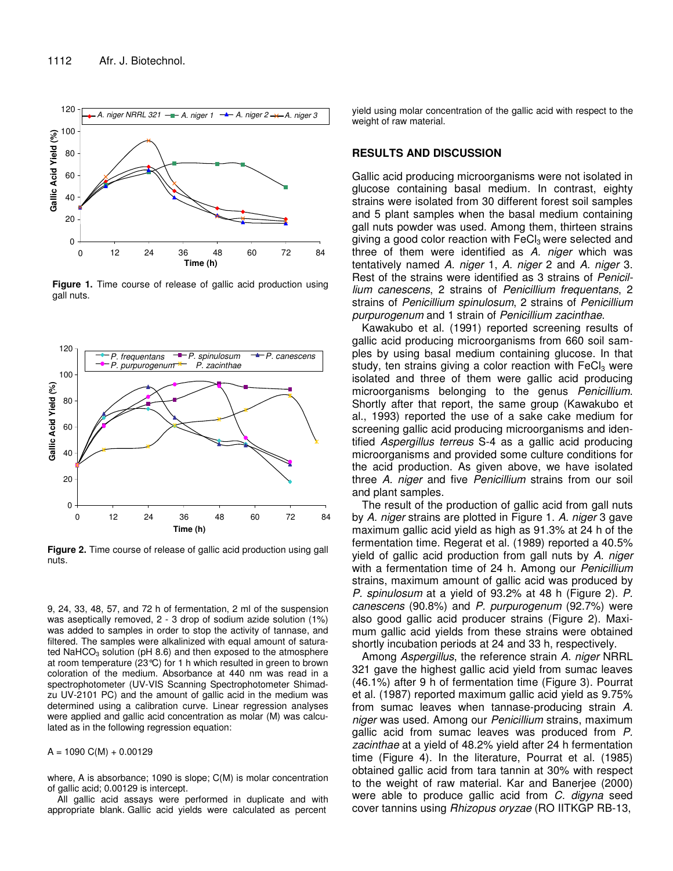

**Figure 1.** Time course of release of gallic acid production using gall nuts.



**Figure 2.** Time course of release of gallic acid production using gall nuts.

9, 24, 33, 48, 57, and 72 h of fermentation, 2 ml of the suspension was aseptically removed, 2 - 3 drop of sodium azide solution (1%) was added to samples in order to stop the activity of tannase, and filtered. The samples were alkalinized with equal amount of saturated NaHCO $_3$  solution (pH 8.6) and then exposed to the atmosphere at room temperature (23°C) for 1 h which resulted in green to brown coloration of the medium. Absorbance at 440 nm was read in a spectrophotometer (UV-VIS Scanning Spectrophotometer Shimadzu UV-2101 PC) and the amount of gallic acid in the medium was determined using a calibration curve. Linear regression analyses were applied and gallic acid concentration as molar (M) was calculated as in the following regression equation:

 $A = 1090 \text{ C}(\text{M}) + 0.00129$ 

where, A is absorbance; 1090 is slope; C(M) is molar concentration of gallic acid; 0.00129 is intercept.

All gallic acid assays were performed in duplicate and with appropriate blank. Gallic acid yields were calculated as percent

yield using molar concentration of the gallic acid with respect to the weight of raw material.

#### **RESULTS AND DISCUSSION**

Gallic acid producing microorganisms were not isolated in glucose containing basal medium. In contrast, eighty strains were isolated from 30 different forest soil samples and 5 plant samples when the basal medium containing gall nuts powder was used. Among them, thirteen strains giving a good color reaction with  $FeCl<sub>3</sub>$  were selected and three of them were identified as *A. niger* which was tentatively named *A. niger* 1, *A. niger* 2 and *A. niger* 3. Rest of the strains were identified as 3 strains of *Penicillium canescens*, 2 strains of *Penicillium frequentans*, 2 strains of *Penicillium spinulosum*, 2 strains of *Penicillium purpurogenum* and 1 strain of *Penicillium zacinthae*.

Kawakubo et al. (1991) reported screening results of gallic acid producing microorganisms from 660 soil samples by using basal medium containing glucose. In that study, ten strains giving a color reaction with  $FeCl<sub>3</sub>$  were isolated and three of them were gallic acid producing microorganisms belonging to the genus *Penicillium*. Shortly after that report, the same group (Kawakubo et al., 1993) reported the use of a sake cake medium for screening gallic acid producing microorganisms and identified *Aspergillus terreus* S-4 as a gallic acid producing microorganisms and provided some culture conditions for the acid production. As given above, we have isolated three *A. niger* and five *Penicillium* strains from our soil and plant samples.

The result of the production of gallic acid from gall nuts by *A. niger* strains are plotted in Figure 1. *A. niger* 3 gave maximum gallic acid yield as high as 91.3% at 24 h of the fermentation time. Regerat et al. (1989) reported a 40.5% yield of gallic acid production from gall nuts by *A. niger* with a fermentation time of 24 h. Among our *Penicillium* strains, maximum amount of gallic acid was produced by *P. spinulosum* at a yield of 93.2% at 48 h (Figure 2). *P. canescens* (90.8%) and *P. purpurogenum* (92.7%) were also good gallic acid producer strains (Figure 2). Maximum gallic acid yields from these strains were obtained shortly incubation periods at 24 and 33 h, respectively.

Among *Aspergillus*, the reference strain *A. niger* NRRL 321 gave the highest gallic acid yield from sumac leaves (46.1%) after 9 h of fermentation time (Figure 3). Pourrat et al. (1987) reported maximum gallic acid yield as 9.75% from sumac leaves when tannase-producing strain *A. niger* was used. Among our *Penicillium* strains, maximum gallic acid from sumac leaves was produced from *P. zacinthae* at a yield of 48.2% yield after 24 h fermentation time (Figure 4). In the literature, Pourrat et al. (1985) obtained gallic acid from tara tannin at 30% with respect to the weight of raw material. Kar and Banerjee (2000) were able to produce gallic acid from *C. digyna* seed cover tannins using *Rhizopus oryzae* (RO IITKGP RB-13,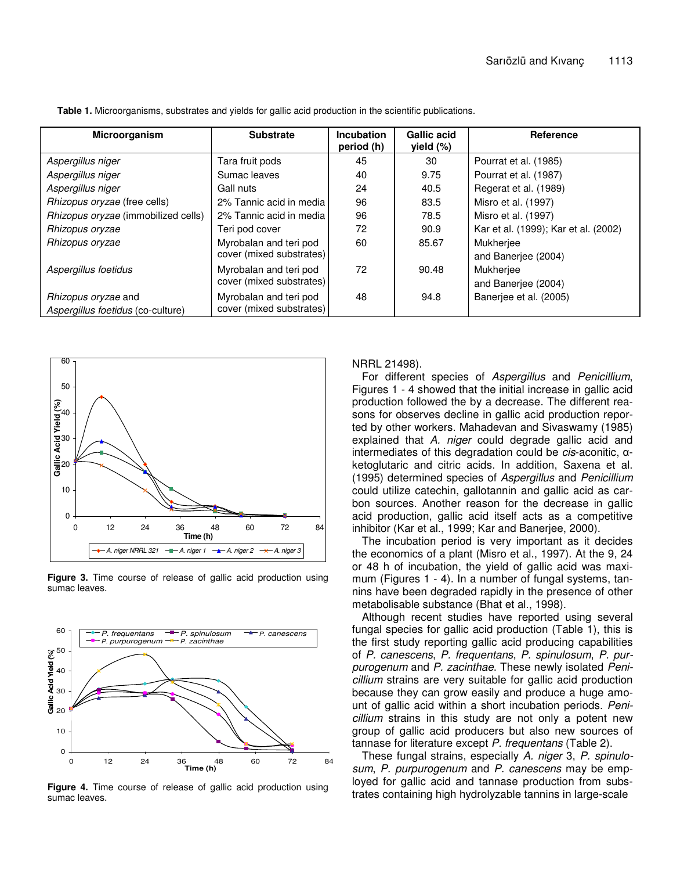| <b>Microorganism</b>                                            | <b>Substrate</b>                                   | Incubation<br>period (h) | <b>Gallic acid</b><br>yield (%) | <b>Reference</b>                        |
|-----------------------------------------------------------------|----------------------------------------------------|--------------------------|---------------------------------|-----------------------------------------|
| Aspergillus niger                                               | Tara fruit pods                                    | 45                       | 30                              | Pourrat et al. (1985)                   |
| Aspergillus niger                                               | Sumac leaves                                       | 40                       | 9.75                            | Pourrat et al. (1987)                   |
| Aspergillus niger                                               | Gall nuts                                          | 24                       | 40.5                            | Regerat et al. (1989)                   |
| <i>Rhizopus oryzae</i> (free cells)                             | 2% Tannic acid in media                            | 96                       | 83.5                            | Misro et al. (1997)                     |
| Rhizopus oryzae (immobilized cells)                             | 2% Tannic acid in media                            | 96                       | 78.5                            | Misro et al. (1997)                     |
| Rhizopus oryzae                                                 | Teri pod cover                                     | 72                       | 90.9                            | Kar et al. (1999); Kar et al. (2002)    |
| Rhizopus oryzae                                                 | Myrobalan and teri pod<br>cover (mixed substrates) | 60                       | 85.67                           | Mukherjee<br>and Banerjee (2004)        |
| Aspergillus foetidus                                            | Myrobalan and teri pod<br>cover (mixed substrates) | 72                       | 90.48                           | <b>Mukherjee</b><br>and Banerjee (2004) |
| <i>Rhizopus oryzae</i> and<br>Aspergillus foetidus (co-culture) | Myrobalan and teri pod<br>cover (mixed substrates) | 48                       | 94.8                            | Baneriee et al. (2005)                  |

**Table 1.** Microorganisms, substrates and yields for gallic acid production in the scientific publications.



**Figure 3.** Time course of release of gallic acid production using sumac leaves.



**Figure 4.** Time course of release of gallic acid production using sumac leaves.

NRRL 21498).

For different species of *Aspergillus* and *Penicillium*, Figures 1 - 4 showed that the initial increase in gallic acid production followed the by a decrease. The different reasons for observes decline in gallic acid production reported by other workers. Mahadevan and Sivaswamy (1985) explained that *A. niger* could degrade gallic acid and intermediates of this degradation could be  $cis$ -aconitic,  $\alpha$ ketoglutaric and citric acids. In addition, Saxena et al. (1995) determined species of *Aspergillus* and *Penicillium* could utilize catechin, gallotannin and gallic acid as carbon sources. Another reason for the decrease in gallic acid production, gallic acid itself acts as a competitive inhibitor (Kar et al., 1999; Kar and Banerjee, 2000).

The incubation period is very important as it decides the economics of a plant (Misro et al., 1997). At the 9, 24 or 48 h of incubation, the yield of gallic acid was maximum (Figures 1 - 4). In a number of fungal systems, tannins have been degraded rapidly in the presence of other metabolisable substance (Bhat et al., 1998).

Although recent studies have reported using several fungal species for gallic acid production (Table 1), this is the first study reporting gallic acid producing capabilities of *P. canescens*, *P. frequentans*, *P. spinulosum*, *P. purpurogenum* and *P. zacinthae*. These newly isolated *Penicillium* strains are very suitable for gallic acid production because they can grow easily and produce a huge amount of gallic acid within a short incubation periods. *Penicillium* strains in this study are not only a potent new group of gallic acid producers but also new sources of tannase for literature except *P. frequentans* (Table 2).

These fungal strains, especially *A. niger* 3, *P. spinulosum*, *P. purpurogenum* and *P. canescens* may be employed for gallic acid and tannase production from substrates containing high hydrolyzable tannins in large-scale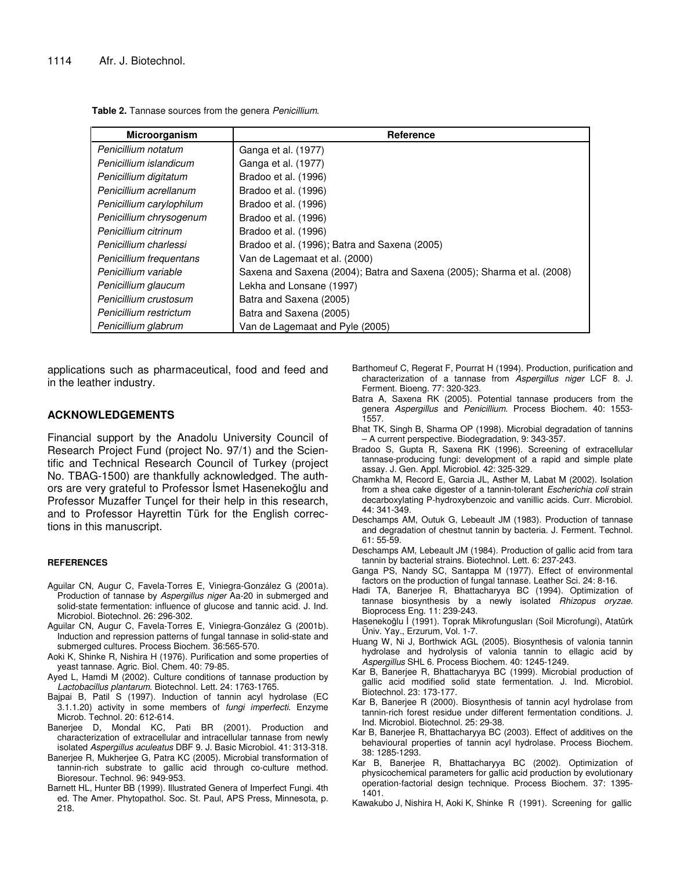| Microorganism            | Reference                                                               |  |  |
|--------------------------|-------------------------------------------------------------------------|--|--|
| Penicillium notatum      | Ganga et al. (1977)                                                     |  |  |
| Penicillium islandicum   | Ganga et al. (1977)                                                     |  |  |
| Penicillium digitatum    | Bradoo et al. (1996)                                                    |  |  |
| Penicillium acrellanum   | Bradoo et al. (1996)                                                    |  |  |
| Penicillium carylophilum | Bradoo et al. (1996)                                                    |  |  |
| Penicillium chrysogenum  | Bradoo et al. (1996)                                                    |  |  |
| Penicillium citrinum     | Bradoo et al. (1996)                                                    |  |  |
| Penicillium charlessi    | Bradoo et al. (1996); Batra and Saxena (2005)                           |  |  |
| Penicillium frequentans  | Van de Lagemaat et al. (2000)                                           |  |  |
| Penicillium variable     | Saxena and Saxena (2004); Batra and Saxena (2005); Sharma et al. (2008) |  |  |
| Penicillium glaucum      | Lekha and Lonsane (1997)                                                |  |  |
| Penicillium crustosum    | Batra and Saxena (2005)                                                 |  |  |
| Penicillium restrictum   | Batra and Saxena (2005)                                                 |  |  |
| Penicillium glabrum      | Van de Lagemaat and Pyle (2005)                                         |  |  |

**Table 2.** Tannase sources from the genera *Penicillium*.

applications such as pharmaceutical, food and feed and in the leather industry.

#### **ACKNOWLEDGEMENTS**

Financial support by the Anadolu University Council of Research Project Fund (project No. 97/1) and the Scientific and Technical Research Council of Turkey (project No. TBAG-1500) are thankfully acknowledged. The authors are very grateful to Professor İsmet Hasenekoğlu and Professor Muzaffer Tunçel for their help in this research, and to Professor Hayrettin Türk for the English corrections in this manuscript.

#### **REFERENCES**

- Aguilar CN, Augur C, Favela-Torres E, Viniegra-González G (2001a). Production of tannase by *Aspergillus niger* Aa-20 in submerged and solid-state fermentation: influence of glucose and tannic acid. J. Ind. Microbiol. Biotechnol. 26: 296-302.
- Aguilar CN, Augur C, Favela-Torres E, Viniegra-González G (2001b). Induction and repression patterns of fungal tannase in solid-state and submerged cultures. Process Biochem. 36:565-570.
- Aoki K, Shinke R, Nishira H (1976). Purification and some properties of yeast tannase. Agric. Biol. Chem. 40: 79-85.
- Ayed L, Hamdi M (2002). Culture conditions of tannase production by *Lactobacillus plantarum*. Biotechnol. Lett. 24: 1763-1765.
- Bajpai B, Patil S (1997). Induction of tannin acyl hydrolase (EC 3.1.1.20) activity in some members of *fungi imperfecti*. Enzyme Microb. Technol. 20: 612-614.
- Banerjee D, Mondal KC, Pati BR (2001). Production and characterization of extracellular and intracellular tannase from newly isolated *Aspergillus aculeatus* DBF 9. J. Basic Microbiol. 41: 313-318.
- Banerjee R, Mukherjee G, Patra KC (2005). Microbial transformation of tannin-rich substrate to gallic acid through co-culture method. Bioresour. Technol. 96: 949-953.
- Barnett HL, Hunter BB (1999). Illustrated Genera of Imperfect Fungi. 4th ed. The Amer. Phytopathol. Soc. St. Paul, APS Press, Minnesota, p. 218.
- Barthomeuf C, Regerat F, Pourrat H (1994). Production, purification and characterization of a tannase from *Aspergillus niger* LCF 8. J. Ferment. Bioeng. 77: 320-323.
- Batra A, Saxena RK (2005). Potential tannase producers from the genera *Aspergillus* and *Penicillium*. Process Biochem. 40: 1553- 1557.
- Bhat TK, Singh B, Sharma OP (1998). Microbial degradation of tannins – A current perspective. Biodegradation, 9: 343-357.
- Bradoo S, Gupta R, Saxena RK (1996). Screening of extracellular tannase-producing fungi: development of a rapid and simple plate assay. J. Gen. Appl. Microbiol. 42: 325-329.
- Chamkha M, Record E, Garcia JL, Asther M, Labat M (2002). Isolation from a shea cake digester of a tannin-tolerant *Escherichia coli* strain decarboxylating P-hydroxybenzoic and vanillic acids. Curr. Microbiol. 44: 341-349.
- Deschamps AM, Outuk G, Lebeault JM (1983). Production of tannase and degradation of chestnut tannin by bacteria. J. Ferment. Technol. 61: 55-59.
- Deschamps AM, Lebeault JM (1984). Production of gallic acid from tara tannin by bacterial strains. Biotechnol. Lett. 6: 237-243.
- Ganga PS, Nandy SC, Santappa M (1977). Effect of environmental factors on the production of fungal tannase. Leather Sci. 24: 8-16.
- Hadi TA, Banerjee R, Bhattacharyya BC (1994). Optimization of tannase biosynthesis by a newly isolated *Rhizopus oryzae*. Bioprocess Eng. 11: 239-243.
- Hasenekoğlu İ (1991). Toprak Mikrofungusları (Soil Microfungi), Atatürk Üniv. Yay., Erzurum, Vol. 1-7.
- Huang W, Ni J, Borthwick AGL (2005). Biosynthesis of valonia tannin hydrolase and hydrolysis of valonia tannin to ellagic acid by *Aspergillus* SHL 6. Process Biochem. 40: 1245-1249.
- Kar B, Banerjee R, Bhattacharyya BC (1999). Microbial production of gallic acid modified solid state fermentation. J. Ind. Microbiol. Biotechnol. 23: 173-177.
- Kar B, Banerjee R (2000). Biosynthesis of tannin acyl hydrolase from tannin-rich forest residue under different fermentation conditions. J. Ind. Microbiol. Biotechnol. 25: 29-38.
- Kar B, Banerjee R, Bhattacharyya BC (2003). Effect of additives on the behavioural properties of tannin acyl hydrolase. Process Biochem. 38: 1285-1293.
- Kar B, Banerjee R, Bhattacharyya BC (2002). Optimization of physicochemical parameters for gallic acid production by evolutionary operation-factorial design technique. Process Biochem. 37: 1395- 1401.

Kawakubo J, Nishira H, Aoki K, Shinke R (1991). Screening for gallic